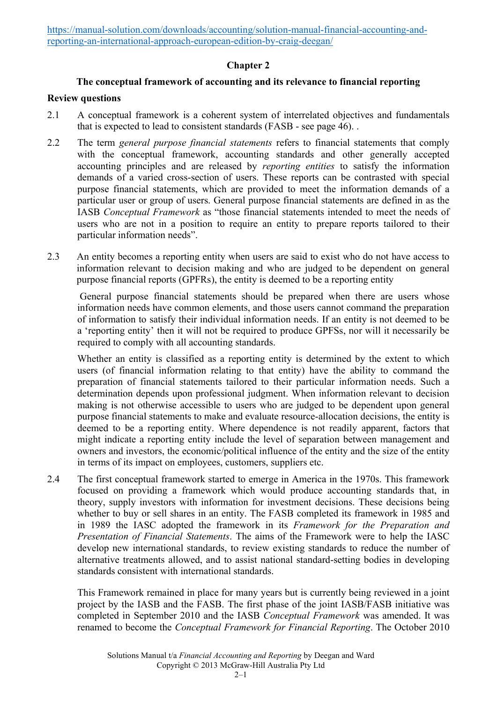# Chapter 2

## The conceptual framework of accounting and its relevance to financial reporting

### Review questions

- 2.1 A conceptual framework is a coherent system of interrelated objectives and fundamentals that is expected to lead to consistent standards (FASB - see page 46). .
- 2.2 The term general purpose financial statements refers to financial statements that comply with the conceptual framework, accounting standards and other generally accepted accounting principles and are released by reporting entities to satisfy the information demands of a varied cross-section of users. These reports can be contrasted with special purpose financial statements, which are provided to meet the information demands of a particular user or group of users. General purpose financial statements are defined in as the IASB Conceptual Framework as "those financial statements intended to meet the needs of users who are not in a position to require an entity to prepare reports tailored to their particular information needs".
- 2.3 An entity becomes a reporting entity when users are said to exist who do not have access to information relevant to decision making and who are judged to be dependent on general purpose financial reports (GPFRs), the entity is deemed to be a reporting entity

 General purpose financial statements should be prepared when there are users whose information needs have common elements, and those users cannot command the preparation of information to satisfy their individual information needs. If an entity is not deemed to be a 'reporting entity' then it will not be required to produce GPFSs, nor will it necessarily be required to comply with all accounting standards.

Whether an entity is classified as a reporting entity is determined by the extent to which users (of financial information relating to that entity) have the ability to command the preparation of financial statements tailored to their particular information needs. Such a determination depends upon professional judgment. When information relevant to decision making is not otherwise accessible to users who are judged to be dependent upon general purpose financial statements to make and evaluate resource-allocation decisions, the entity is deemed to be a reporting entity. Where dependence is not readily apparent, factors that might indicate a reporting entity include the level of separation between management and owners and investors, the economic/political influence of the entity and the size of the entity in terms of its impact on employees, customers, suppliers etc.

2.4 The first conceptual framework started to emerge in America in the 1970s. This framework focused on providing a framework which would produce accounting standards that, in theory, supply investors with information for investment decisions. These decisions being whether to buy or sell shares in an entity. The FASB completed its framework in 1985 and in 1989 the IASC adopted the framework in its Framework for the Preparation and Presentation of Financial Statements. The aims of the Framework were to help the IASC develop new international standards, to review existing standards to reduce the number of alternative treatments allowed, and to assist national standard-setting bodies in developing standards consistent with international standards.

 This Framework remained in place for many years but is currently being reviewed in a joint project by the IASB and the FASB. The first phase of the joint IASB/FASB initiative was completed in September 2010 and the IASB Conceptual Framework was amended. It was renamed to become the Conceptual Framework for Financial Reporting. The October 2010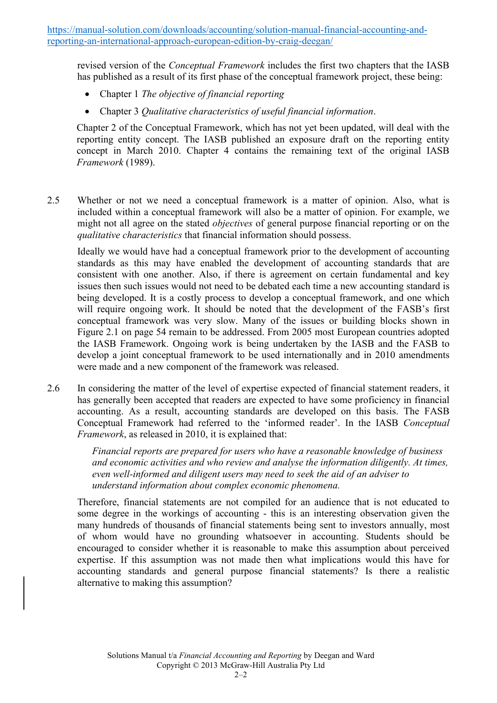revised version of the Conceptual Framework includes the first two chapters that the IASB has published as a result of its first phase of the conceptual framework project, these being:

- Chapter 1 The objective of financial reporting
- Chapter 3 Qualitative characteristics of useful financial information.

Chapter 2 of the Conceptual Framework, which has not yet been updated, will deal with the reporting entity concept. The IASB published an exposure draft on the reporting entity concept in March 2010. Chapter 4 contains the remaining text of the original IASB Framework (1989).

2.5 Whether or not we need a conceptual framework is a matter of opinion. Also, what is included within a conceptual framework will also be a matter of opinion. For example, we might not all agree on the stated *objectives* of general purpose financial reporting or on the qualitative characteristics that financial information should possess.

Ideally we would have had a conceptual framework prior to the development of accounting standards as this may have enabled the development of accounting standards that are consistent with one another. Also, if there is agreement on certain fundamental and key issues then such issues would not need to be debated each time a new accounting standard is being developed. It is a costly process to develop a conceptual framework, and one which will require ongoing work. It should be noted that the development of the FASB's first conceptual framework was very slow. Many of the issues or building blocks shown in Figure 2.1 on page 54 remain to be addressed. From 2005 most European countries adopted the IASB Framework. Ongoing work is being undertaken by the IASB and the FASB to develop a joint conceptual framework to be used internationally and in 2010 amendments were made and a new component of the framework was released.

2.6 In considering the matter of the level of expertise expected of financial statement readers, it has generally been accepted that readers are expected to have some proficiency in financial accounting. As a result, accounting standards are developed on this basis. The FASB Conceptual Framework had referred to the 'informed reader'. In the IASB Conceptual Framework, as released in 2010, it is explained that:

> Financial reports are prepared for users who have a reasonable knowledge of business and economic activities and who review and analyse the information diligently. At times, even well-informed and diligent users may need to seek the aid of an adviser to understand information about complex economic phenomena.

 Therefore, financial statements are not compiled for an audience that is not educated to some degree in the workings of accounting - this is an interesting observation given the many hundreds of thousands of financial statements being sent to investors annually, most of whom would have no grounding whatsoever in accounting. Students should be encouraged to consider whether it is reasonable to make this assumption about perceived expertise. If this assumption was not made then what implications would this have for accounting standards and general purpose financial statements? Is there a realistic alternative to making this assumption?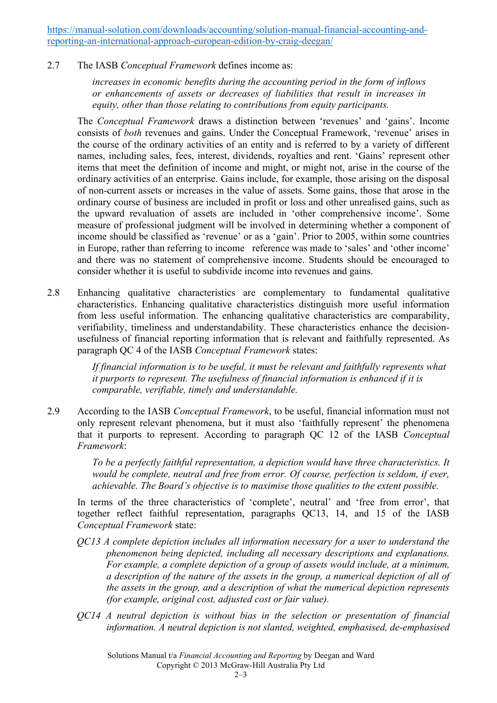### 2.7 The IASB Conceptual Framework defines income as:

increases in economic benefits during the accounting period in the form of inflows or enhancements of assets or decreases of liabilities that result in increases in equity, other than those relating to contributions from equity participants.

The Conceptual Framework draws a distinction between 'revenues' and 'gains'. Income consists of both revenues and gains. Under the Conceptual Framework, 'revenue' arises in the course of the ordinary activities of an entity and is referred to by a variety of different names, including sales, fees, interest, dividends, royalties and rent. 'Gains' represent other items that meet the definition of income and might, or might not, arise in the course of the ordinary activities of an enterprise. Gains include, for example, those arising on the disposal of non-current assets or increases in the value of assets. Some gains, those that arose in the ordinary course of business are included in profit or loss and other unrealised gains, such as the upward revaluation of assets are included in 'other comprehensive income'. Some measure of professional judgment will be involved in determining whether a component of income should be classified as 'revenue' or as a 'gain'. Prior to 2005, within some countries in Europe, rather than referring to income reference was made to 'sales' and 'other income' and there was no statement of comprehensive income. Students should be encouraged to consider whether it is useful to subdivide income into revenues and gains.

2.8 Enhancing qualitative characteristics are complementary to fundamental qualitative characteristics. Enhancing qualitative characteristics distinguish more useful information from less useful information. The enhancing qualitative characteristics are comparability, verifiability, timeliness and understandability. These characteristics enhance the decisionusefulness of financial reporting information that is relevant and faithfully represented. As paragraph QC 4 of the IASB Conceptual Framework states:

> If financial information is to be useful, it must be relevant and faithfully represents what it purports to represent. The usefulness of financial information is enhanced if it is comparable, verifiable, timely and understandable.

2.9 According to the IASB Conceptual Framework, to be useful, financial information must not only represent relevant phenomena, but it must also 'faithfully represent' the phenomena that it purports to represent. According to paragraph QC 12 of the IASB Conceptual Framework:

> To be a perfectly faithful representation, a depiction would have three characteristics. It would be complete, neutral and free from error. Of course, perfection is seldom, if ever, achievable. The Board's objective is to maximise those qualities to the extent possible.

In terms of the three characteristics of 'complete', neutral' and 'free from error', that together reflect faithful representation, paragraphs QC13, 14, and 15 of the IASB Conceptual Framework state:

- QC13 A complete depiction includes all information necessary for a user to understand the phenomenon being depicted, including all necessary descriptions and explanations. For example, a complete depiction of a group of assets would include, at a minimum, a description of the nature of the assets in the group, a numerical depiction of all of the assets in the group, and a description of what the numerical depiction represents (for example, original cost, adjusted cost or fair value).
- QC14 A neutral depiction is without bias in the selection or presentation of financial information. A neutral depiction is not slanted, weighted, emphasised, de-emphasised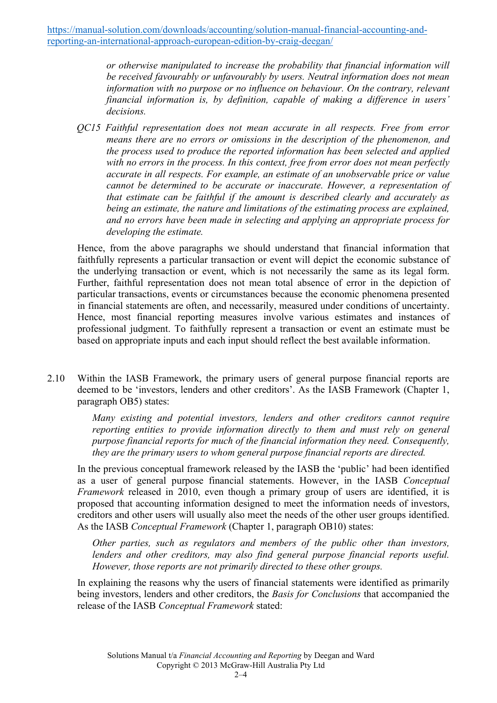or otherwise manipulated to increase the probability that financial information will be received favourably or unfavourably by users. Neutral information does not mean information with no purpose or no influence on behaviour. On the contrary, relevant financial information is, by definition, capable of making a difference in users' decisions.

QC15 Faithful representation does not mean accurate in all respects. Free from error means there are no errors or omissions in the description of the phenomenon, and the process used to produce the reported information has been selected and applied with no errors in the process. In this context, free from error does not mean perfectly accurate in all respects. For example, an estimate of an unobservable price or value cannot be determined to be accurate or inaccurate. However, a representation of that estimate can be faithful if the amount is described clearly and accurately as being an estimate, the nature and limitations of the estimating process are explained, and no errors have been made in selecting and applying an appropriate process for developing the estimate.

Hence, from the above paragraphs we should understand that financial information that faithfully represents a particular transaction or event will depict the economic substance of the underlying transaction or event, which is not necessarily the same as its legal form. Further, faithful representation does not mean total absence of error in the depiction of particular transactions, events or circumstances because the economic phenomena presented in financial statements are often, and necessarily, measured under conditions of uncertainty. Hence, most financial reporting measures involve various estimates and instances of professional judgment. To faithfully represent a transaction or event an estimate must be based on appropriate inputs and each input should reflect the best available information.

2.10 Within the IASB Framework, the primary users of general purpose financial reports are deemed to be 'investors, lenders and other creditors'. As the IASB Framework (Chapter 1, paragraph OB5) states:

> Many existing and potential investors, lenders and other creditors cannot require reporting entities to provide information directly to them and must rely on general purpose financial reports for much of the financial information they need. Consequently, they are the primary users to whom general purpose financial reports are directed.

In the previous conceptual framework released by the IASB the 'public' had been identified as a user of general purpose financial statements. However, in the IASB Conceptual Framework released in 2010, even though a primary group of users are identified, it is proposed that accounting information designed to meet the information needs of investors, creditors and other users will usually also meet the needs of the other user groups identified. As the IASB *Conceptual Framework* (Chapter 1, paragraph OB10) states:

Other parties, such as regulators and members of the public other than investors, lenders and other creditors, may also find general purpose financial reports useful. However, those reports are not primarily directed to these other groups.

In explaining the reasons why the users of financial statements were identified as primarily being investors, lenders and other creditors, the Basis for Conclusions that accompanied the release of the IASB Conceptual Framework stated: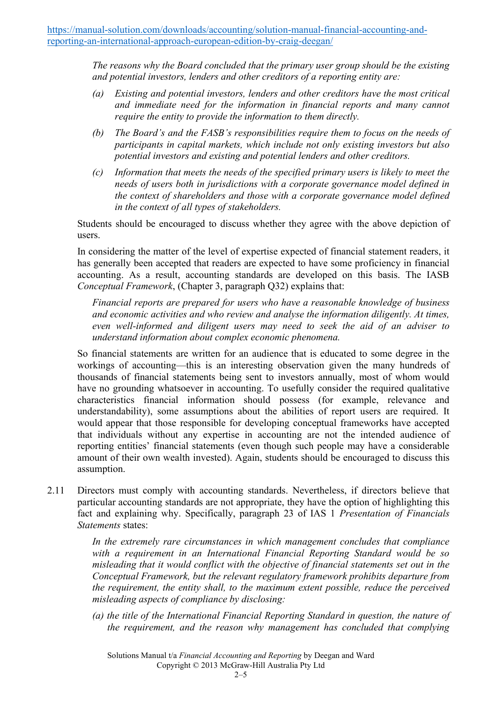The reasons why the Board concluded that the primary user group should be the existing and potential investors, lenders and other creditors of a reporting entity are:

- (a) Existing and potential investors, lenders and other creditors have the most critical and immediate need for the information in financial reports and many cannot require the entity to provide the information to them directly.
- (b) The Board's and the FASB's responsibilities require them to focus on the needs of participants in capital markets, which include not only existing investors but also potential investors and existing and potential lenders and other creditors.
- (c) Information that meets the needs of the specified primary users is likely to meet the needs of users both in jurisdictions with a corporate governance model defined in the context of shareholders and those with a corporate governance model defined in the context of all types of stakeholders.

Students should be encouraged to discuss whether they agree with the above depiction of users.

In considering the matter of the level of expertise expected of financial statement readers, it has generally been accepted that readers are expected to have some proficiency in financial accounting. As a result, accounting standards are developed on this basis. The IASB Conceptual Framework, (Chapter 3, paragraph Q32) explains that:

Financial reports are prepared for users who have a reasonable knowledge of business and economic activities and who review and analyse the information diligently. At times, even well-informed and diligent users may need to seek the aid of an adviser to understand information about complex economic phenomena.

So financial statements are written for an audience that is educated to some degree in the workings of accounting—this is an interesting observation given the many hundreds of thousands of financial statements being sent to investors annually, most of whom would have no grounding whatsoever in accounting. To usefully consider the required qualitative characteristics financial information should possess (for example, relevance and understandability), some assumptions about the abilities of report users are required. It would appear that those responsible for developing conceptual frameworks have accepted that individuals without any expertise in accounting are not the intended audience of reporting entities' financial statements (even though such people may have a considerable amount of their own wealth invested). Again, students should be encouraged to discuss this assumption.

2.11 Directors must comply with accounting standards. Nevertheless, if directors believe that particular accounting standards are not appropriate, they have the option of highlighting this fact and explaining why. Specifically, paragraph 23 of IAS 1 Presentation of Financials Statements states:

> In the extremely rare circumstances in which management concludes that compliance with a requirement in an International Financial Reporting Standard would be so misleading that it would conflict with the objective of financial statements set out in the Conceptual Framework, but the relevant regulatory framework prohibits departure from the requirement, the entity shall, to the maximum extent possible, reduce the perceived misleading aspects of compliance by disclosing:

> (a) the title of the International Financial Reporting Standard in question, the nature of the requirement, and the reason why management has concluded that complying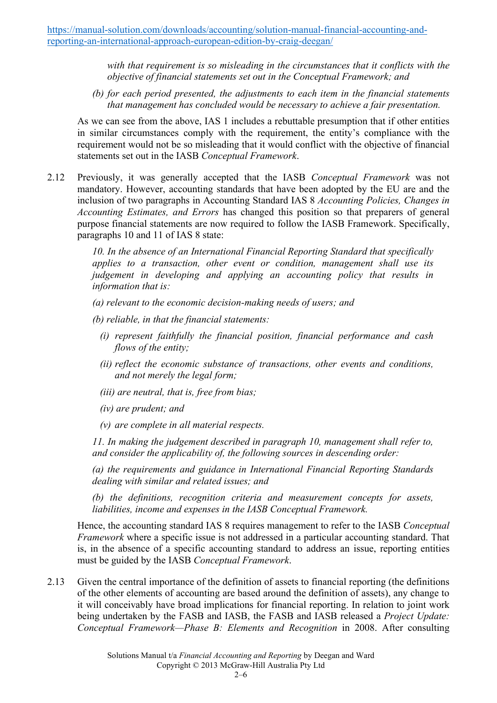with that requirement is so misleading in the circumstances that it conflicts with the objective of financial statements set out in the Conceptual Framework; and

(b) for each period presented, the adjustments to each item in the financial statements that management has concluded would be necessary to achieve a fair presentation.

As we can see from the above, IAS 1 includes a rebuttable presumption that if other entities in similar circumstances comply with the requirement, the entity's compliance with the requirement would not be so misleading that it would conflict with the objective of financial statements set out in the IASB Conceptual Framework.

2.12 Previously, it was generally accepted that the IASB Conceptual Framework was not mandatory. However, accounting standards that have been adopted by the EU are and the inclusion of two paragraphs in Accounting Standard IAS 8 Accounting Policies, Changes in Accounting Estimates, and Errors has changed this position so that preparers of general purpose financial statements are now required to follow the IASB Framework. Specifically, paragraphs 10 and 11 of IAS 8 state:

> 10. In the absence of an International Financial Reporting Standard that specifically applies to a transaction, other event or condition, management shall use its judgement in developing and applying an accounting policy that results in information that is:

- (a) relevant to the economic decision-making needs of users; and
- (b) reliable, in that the financial statements:
	- (i) represent faithfully the financial position, financial performance and cash flows of the entity;
	- (ii) reflect the economic substance of transactions, other events and conditions, and not merely the legal form;
	- $(iii)$  are neutral, that is, free from bias;
	- (iv) are prudent; and
	- (v) are complete in all material respects.

11. In making the judgement described in paragraph 10, management shall refer to, and consider the applicability of, the following sources in descending order:

(a) the requirements and guidance in International Financial Reporting Standards dealing with similar and related issues; and

(b) the definitions, recognition criteria and measurement concepts for assets, liabilities, income and expenses in the IASB Conceptual Framework.

Hence, the accounting standard IAS 8 requires management to refer to the IASB Conceptual Framework where a specific issue is not addressed in a particular accounting standard. That is, in the absence of a specific accounting standard to address an issue, reporting entities must be guided by the IASB Conceptual Framework.

2.13 Given the central importance of the definition of assets to financial reporting (the definitions of the other elements of accounting are based around the definition of assets), any change to it will conceivably have broad implications for financial reporting. In relation to joint work being undertaken by the FASB and IASB, the FASB and IASB released a *Project Update:* Conceptual Framework—Phase B: Elements and Recognition in 2008. After consulting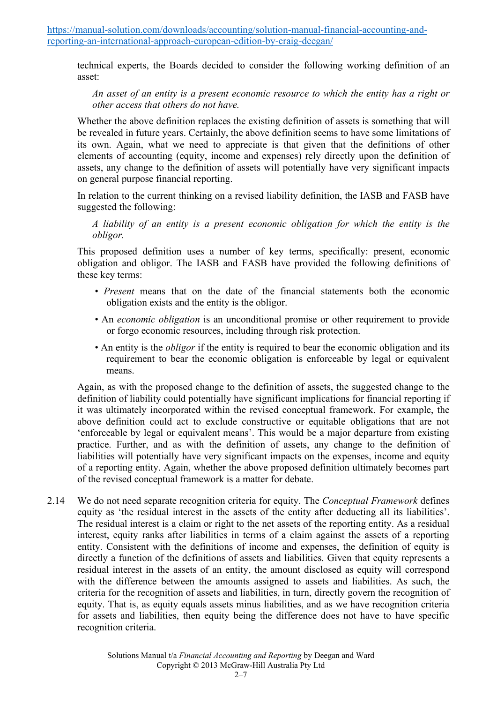technical experts, the Boards decided to consider the following working definition of an asset:

An asset of an entity is a present economic resource to which the entity has a right or other access that others do not have.

Whether the above definition replaces the existing definition of assets is something that will be revealed in future years. Certainly, the above definition seems to have some limitations of its own. Again, what we need to appreciate is that given that the definitions of other elements of accounting (equity, income and expenses) rely directly upon the definition of assets, any change to the definition of assets will potentially have very significant impacts on general purpose financial reporting.

In relation to the current thinking on a revised liability definition, the IASB and FASB have suggested the following:

A liability of an entity is a present economic obligation for which the entity is the obligor.

This proposed definition uses a number of key terms, specifically: present, economic obligation and obligor. The IASB and FASB have provided the following definitions of these key terms:

- Present means that on the date of the financial statements both the economic obligation exists and the entity is the obligor.
- An economic obligation is an unconditional promise or other requirement to provide or forgo economic resources, including through risk protection.
- An entity is the *obligor* if the entity is required to bear the economic obligation and its requirement to bear the economic obligation is enforceable by legal or equivalent means.

Again, as with the proposed change to the definition of assets, the suggested change to the definition of liability could potentially have significant implications for financial reporting if it was ultimately incorporated within the revised conceptual framework. For example, the above definition could act to exclude constructive or equitable obligations that are not 'enforceable by legal or equivalent means'. This would be a major departure from existing practice. Further, and as with the definition of assets, any change to the definition of liabilities will potentially have very significant impacts on the expenses, income and equity of a reporting entity. Again, whether the above proposed definition ultimately becomes part of the revised conceptual framework is a matter for debate.

2.14 We do not need separate recognition criteria for equity. The *Conceptual Framework* defines equity as 'the residual interest in the assets of the entity after deducting all its liabilities'. The residual interest is a claim or right to the net assets of the reporting entity. As a residual interest, equity ranks after liabilities in terms of a claim against the assets of a reporting entity. Consistent with the definitions of income and expenses, the definition of equity is directly a function of the definitions of assets and liabilities. Given that equity represents a residual interest in the assets of an entity, the amount disclosed as equity will correspond with the difference between the amounts assigned to assets and liabilities. As such, the criteria for the recognition of assets and liabilities, in turn, directly govern the recognition of equity. That is, as equity equals assets minus liabilities, and as we have recognition criteria for assets and liabilities, then equity being the difference does not have to have specific recognition criteria.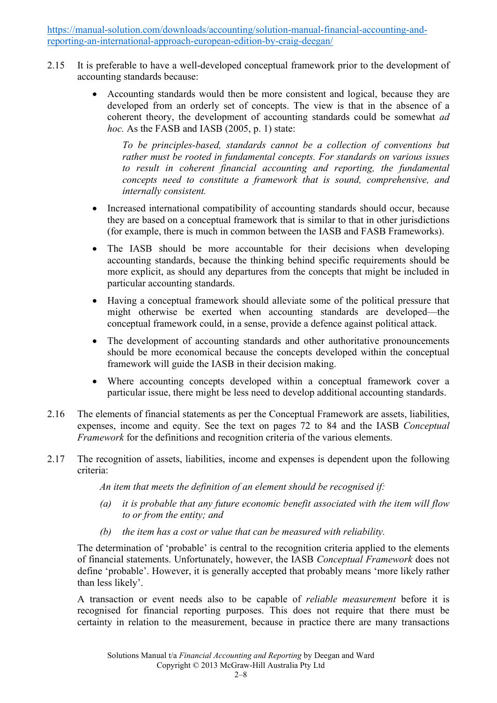- 2.15 It is preferable to have a well-developed conceptual framework prior to the development of accounting standards because:
	- Accounting standards would then be more consistent and logical, because they are developed from an orderly set of concepts. The view is that in the absence of a coherent theory, the development of accounting standards could be somewhat ad hoc. As the FASB and IASB (2005, p. 1) state:

To be principles-based, standards cannot be a collection of conventions but rather must be rooted in fundamental concepts. For standards on various issues to result in coherent financial accounting and reporting, the fundamental concepts need to constitute a framework that is sound, comprehensive, and internally consistent.

- Increased international compatibility of accounting standards should occur, because they are based on a conceptual framework that is similar to that in other jurisdictions (for example, there is much in common between the IASB and FASB Frameworks).
- The IASB should be more accountable for their decisions when developing accounting standards, because the thinking behind specific requirements should be more explicit, as should any departures from the concepts that might be included in particular accounting standards.
- Having a conceptual framework should alleviate some of the political pressure that might otherwise be exerted when accounting standards are developed—the conceptual framework could, in a sense, provide a defence against political attack.
- The development of accounting standards and other authoritative pronouncements should be more economical because the concepts developed within the conceptual framework will guide the IASB in their decision making.
- Where accounting concepts developed within a conceptual framework cover a particular issue, there might be less need to develop additional accounting standards.
- 2.16 The elements of financial statements as per the Conceptual Framework are assets, liabilities, expenses, income and equity. See the text on pages 72 to 84 and the IASB Conceptual Framework for the definitions and recognition criteria of the various elements.
- 2.17 The recognition of assets, liabilities, income and expenses is dependent upon the following criteria:
	- An item that meets the definition of an element should be recognised if:
	- (a) it is probable that any future economic benefit associated with the item will flow to or from the entity; and
	- (b) the item has a cost or value that can be measured with reliability.

The determination of 'probable' is central to the recognition criteria applied to the elements of financial statements. Unfortunately, however, the IASB Conceptual Framework does not define 'probable'. However, it is generally accepted that probably means 'more likely rather than less likely'.

A transaction or event needs also to be capable of reliable measurement before it is recognised for financial reporting purposes. This does not require that there must be certainty in relation to the measurement, because in practice there are many transactions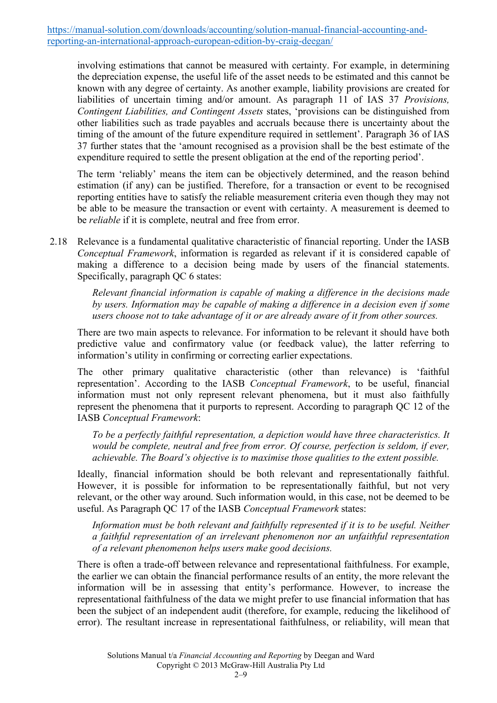involving estimations that cannot be measured with certainty. For example, in determining the depreciation expense, the useful life of the asset needs to be estimated and this cannot be known with any degree of certainty. As another example, liability provisions are created for liabilities of uncertain timing and/or amount. As paragraph 11 of IAS 37 Provisions, Contingent Liabilities, and Contingent Assets states, 'provisions can be distinguished from other liabilities such as trade payables and accruals because there is uncertainty about the timing of the amount of the future expenditure required in settlement'. Paragraph 36 of IAS 37 further states that the 'amount recognised as a provision shall be the best estimate of the expenditure required to settle the present obligation at the end of the reporting period'.

The term 'reliably' means the item can be objectively determined, and the reason behind estimation (if any) can be justified. Therefore, for a transaction or event to be recognised reporting entities have to satisfy the reliable measurement criteria even though they may not be able to be measure the transaction or event with certainty. A measurement is deemed to be reliable if it is complete, neutral and free from error.

 2.18 Relevance is a fundamental qualitative characteristic of financial reporting. Under the IASB Conceptual Framework, information is regarded as relevant if it is considered capable of making a difference to a decision being made by users of the financial statements. Specifically, paragraph QC 6 states:

> Relevant financial information is capable of making a difference in the decisions made by users. Information may be capable of making a difference in a decision even if some users choose not to take advantage of it or are already aware of it from other sources.

There are two main aspects to relevance. For information to be relevant it should have both predictive value and confirmatory value (or feedback value), the latter referring to information's utility in confirming or correcting earlier expectations.

The other primary qualitative characteristic (other than relevance) is 'faithful representation'. According to the IASB Conceptual Framework, to be useful, financial information must not only represent relevant phenomena, but it must also faithfully represent the phenomena that it purports to represent. According to paragraph QC 12 of the IASB Conceptual Framework:

To be a perfectly faithful representation, a depiction would have three characteristics. It would be complete, neutral and free from error. Of course, perfection is seldom, if ever, achievable. The Board's objective is to maximise those qualities to the extent possible.

Ideally, financial information should be both relevant and representationally faithful. However, it is possible for information to be representationally faithful, but not very relevant, or the other way around. Such information would, in this case, not be deemed to be useful. As Paragraph QC 17 of the IASB Conceptual Framework states:

Information must be both relevant and faithfully represented if it is to be useful. Neither a faithful representation of an irrelevant phenomenon nor an unfaithful representation of a relevant phenomenon helps users make good decisions.

 There is often a trade-off between relevance and representational faithfulness. For example, the earlier we can obtain the financial performance results of an entity, the more relevant the information will be in assessing that entity's performance. However, to increase the representational faithfulness of the data we might prefer to use financial information that has been the subject of an independent audit (therefore, for example, reducing the likelihood of error). The resultant increase in representational faithfulness, or reliability, will mean that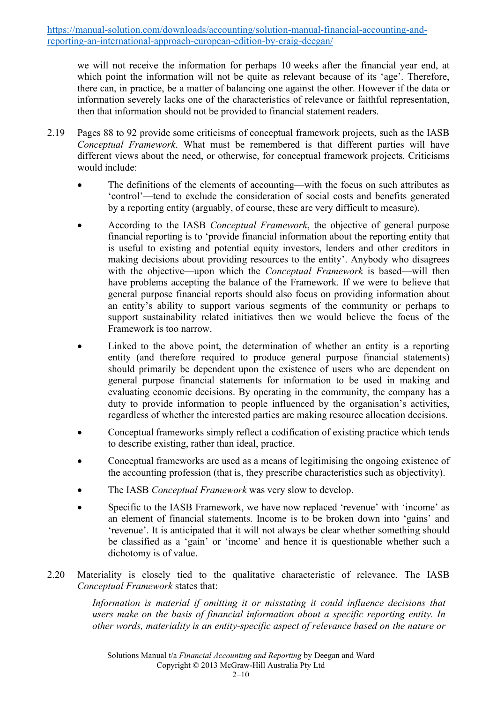we will not receive the information for perhaps 10 weeks after the financial year end, at which point the information will not be quite as relevant because of its 'age'. Therefore, there can, in practice, be a matter of balancing one against the other. However if the data or information severely lacks one of the characteristics of relevance or faithful representation, then that information should not be provided to financial statement readers.

- 2.19 Pages 88 to 92 provide some criticisms of conceptual framework projects, such as the IASB Conceptual Framework. What must be remembered is that different parties will have different views about the need, or otherwise, for conceptual framework projects. Criticisms would include:
	- The definitions of the elements of accounting—with the focus on such attributes as 'control'—tend to exclude the consideration of social costs and benefits generated by a reporting entity (arguably, of course, these are very difficult to measure).
	- According to the IASB Conceptual Framework, the objective of general purpose financial reporting is to 'provide financial information about the reporting entity that is useful to existing and potential equity investors, lenders and other creditors in making decisions about providing resources to the entity'. Anybody who disagrees with the objective—upon which the *Conceptual Framework* is based—will then have problems accepting the balance of the Framework. If we were to believe that general purpose financial reports should also focus on providing information about an entity's ability to support various segments of the community or perhaps to support sustainability related initiatives then we would believe the focus of the Framework is too narrow.
	- Linked to the above point, the determination of whether an entity is a reporting entity (and therefore required to produce general purpose financial statements) should primarily be dependent upon the existence of users who are dependent on general purpose financial statements for information to be used in making and evaluating economic decisions. By operating in the community, the company has a duty to provide information to people influenced by the organisation's activities, regardless of whether the interested parties are making resource allocation decisions.
	- Conceptual frameworks simply reflect a codification of existing practice which tends to describe existing, rather than ideal, practice.
	- Conceptual frameworks are used as a means of legitimising the ongoing existence of the accounting profession (that is, they prescribe characteristics such as objectivity).
	- The IASB Conceptual Framework was very slow to develop.
	- Specific to the IASB Framework, we have now replaced 'revenue' with 'income' as an element of financial statements. Income is to be broken down into 'gains' and 'revenue'. It is anticipated that it will not always be clear whether something should be classified as a 'gain' or 'income' and hence it is questionable whether such a dichotomy is of value.
- 2.20 Materiality is closely tied to the qualitative characteristic of relevance. The IASB Conceptual Framework states that:

Information is material if omitting it or misstating it could influence decisions that users make on the basis of financial information about a specific reporting entity. In other words, materiality is an entity-specific aspect of relevance based on the nature or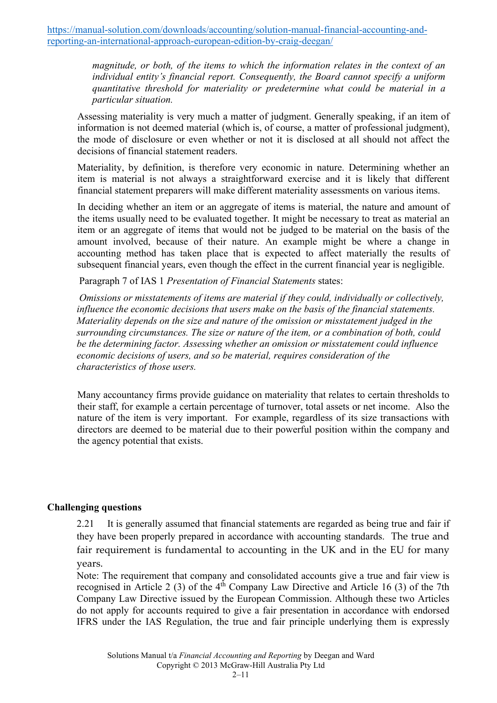> magnitude, or both, of the items to which the information relates in the context of an individual entity's financial report. Consequently, the Board cannot specify a uniform quantitative threshold for materiality or predetermine what could be material in a particular situation.

Assessing materiality is very much a matter of judgment. Generally speaking, if an item of information is not deemed material (which is, of course, a matter of professional judgment), the mode of disclosure or even whether or not it is disclosed at all should not affect the decisions of financial statement readers.

Materiality, by definition, is therefore very economic in nature. Determining whether an item is material is not always a straightforward exercise and it is likely that different financial statement preparers will make different materiality assessments on various items.

In deciding whether an item or an aggregate of items is material, the nature and amount of the items usually need to be evaluated together. It might be necessary to treat as material an item or an aggregate of items that would not be judged to be material on the basis of the amount involved, because of their nature. An example might be where a change in accounting method has taken place that is expected to affect materially the results of subsequent financial years, even though the effect in the current financial year is negligible.

Paragraph 7 of IAS 1 Presentation of Financial Statements states:

Omissions or misstatements of items are material if they could, individually or collectively, influence the economic decisions that users make on the basis of the financial statements. Materiality depends on the size and nature of the omission or misstatement judged in the surrounding circumstances. The size or nature of the item, or a combination of both, could be the determining factor. Assessing whether an omission or misstatement could influence economic decisions of users, and so be material, requires consideration of the characteristics of those users.

Many accountancy firms provide guidance on materiality that relates to certain thresholds to their staff, for example a certain percentage of turnover, total assets or net income. Also the nature of the item is very important. For example, regardless of its size transactions with directors are deemed to be material due to their powerful position within the company and the agency potential that exists.

### Challenging questions

2.21 It is generally assumed that financial statements are regarded as being true and fair if they have been properly prepared in accordance with accounting standards. The true and fair requirement is fundamental to accounting in the UK and in the EU for many years.

Note: The requirement that company and consolidated accounts give a true and fair view is recognised in Article 2 (3) of the  $4<sup>th</sup>$  Company Law Directive and Article 16 (3) of the 7th Company Law Directive issued by the European Commission. Although these two Articles do not apply for accounts required to give a fair presentation in accordance with endorsed IFRS under the IAS Regulation, the true and fair principle underlying them is expressly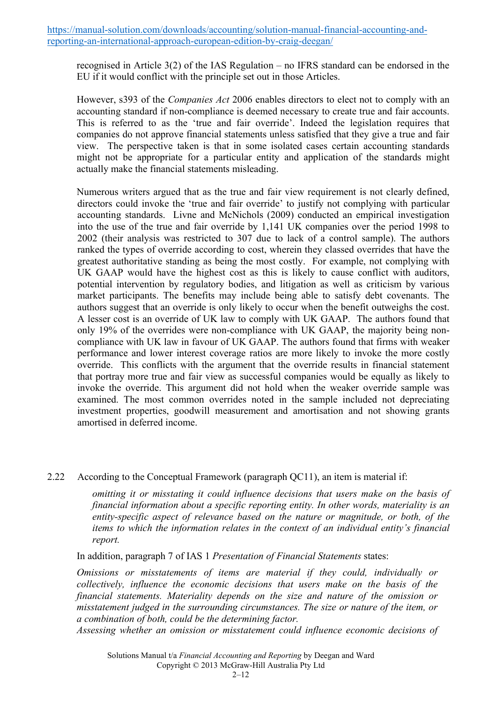recognised in Article 3(2) of the IAS Regulation – no IFRS standard can be endorsed in the EU if it would conflict with the principle set out in those Articles.

However, s393 of the *Companies Act* 2006 enables directors to elect not to comply with an accounting standard if non-compliance is deemed necessary to create true and fair accounts. This is referred to as the 'true and fair override'. Indeed the legislation requires that companies do not approve financial statements unless satisfied that they give a true and fair view. The perspective taken is that in some isolated cases certain accounting standards might not be appropriate for a particular entity and application of the standards might actually make the financial statements misleading.

Numerous writers argued that as the true and fair view requirement is not clearly defined, directors could invoke the 'true and fair override' to justify not complying with particular accounting standards. Livne and McNichols (2009) conducted an empirical investigation into the use of the true and fair override by 1,141 UK companies over the period 1998 to 2002 (their analysis was restricted to 307 due to lack of a control sample). The authors ranked the types of override according to cost, wherein they classed overrides that have the greatest authoritative standing as being the most costly. For example, not complying with UK GAAP would have the highest cost as this is likely to cause conflict with auditors, potential intervention by regulatory bodies, and litigation as well as criticism by various market participants. The benefits may include being able to satisfy debt covenants. The authors suggest that an override is only likely to occur when the benefit outweighs the cost. A lesser cost is an override of UK law to comply with UK GAAP. The authors found that only 19% of the overrides were non-compliance with UK GAAP, the majority being noncompliance with UK law in favour of UK GAAP. The authors found that firms with weaker performance and lower interest coverage ratios are more likely to invoke the more costly override. This conflicts with the argument that the override results in financial statement that portray more true and fair view as successful companies would be equally as likely to invoke the override. This argument did not hold when the weaker override sample was examined. The most common overrides noted in the sample included not depreciating investment properties, goodwill measurement and amortisation and not showing grants amortised in deferred income.

## 2.22 According to the Conceptual Framework (paragraph QC11), an item is material if:

omitting it or misstating it could influence decisions that users make on the basis of financial information about a specific reporting entity. In other words, materiality is an entity-specific aspect of relevance based on the nature or magnitude, or both, of the items to which the information relates in the context of an individual entity's financial report.

In addition, paragraph 7 of IAS 1 Presentation of Financial Statements states:

Omissions or misstatements of items are material if they could, individually or collectively, influence the economic decisions that users make on the basis of the financial statements. Materiality depends on the size and nature of the omission or misstatement judged in the surrounding circumstances. The size or nature of the item, or a combination of both, could be the determining factor.

Assessing whether an omission or misstatement could influence economic decisions of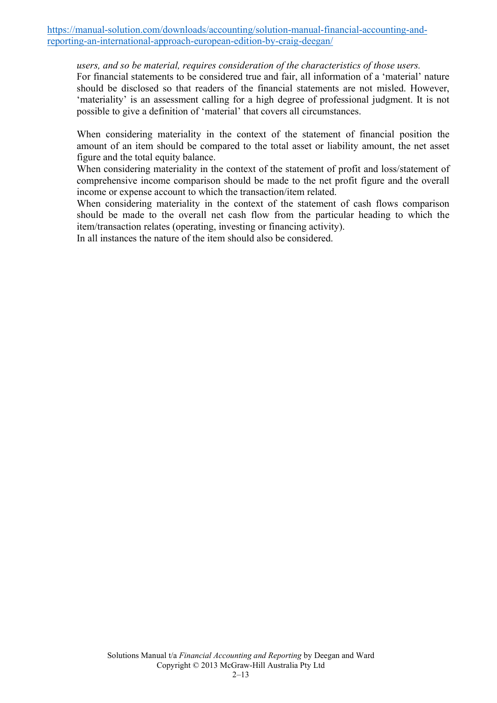users, and so be material, requires consideration of the characteristics of those users.

For financial statements to be considered true and fair, all information of a 'material' nature should be disclosed so that readers of the financial statements are not misled. However, 'materiality' is an assessment calling for a high degree of professional judgment. It is not possible to give a definition of 'material' that covers all circumstances.

When considering materiality in the context of the statement of financial position the amount of an item should be compared to the total asset or liability amount, the net asset figure and the total equity balance.

When considering materiality in the context of the statement of profit and loss/statement of comprehensive income comparison should be made to the net profit figure and the overall income or expense account to which the transaction/item related.

When considering materiality in the context of the statement of cash flows comparison should be made to the overall net cash flow from the particular heading to which the item/transaction relates (operating, investing or financing activity).

In all instances the nature of the item should also be considered.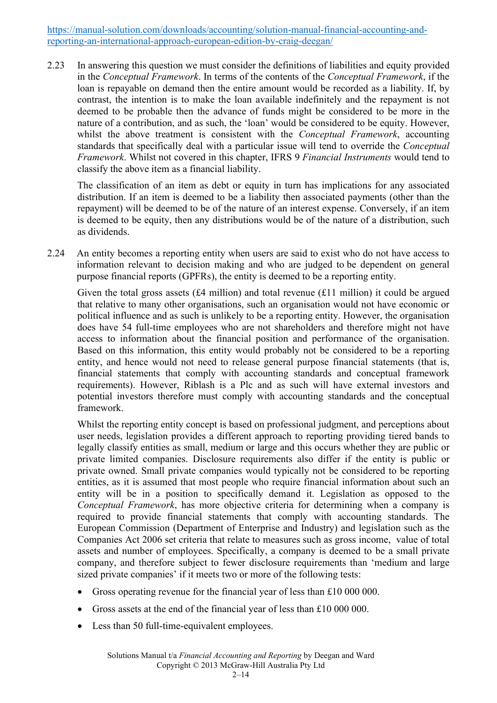2.23 In answering this question we must consider the definitions of liabilities and equity provided in the Conceptual Framework. In terms of the contents of the Conceptual Framework, if the loan is repayable on demand then the entire amount would be recorded as a liability. If, by contrast, the intention is to make the loan available indefinitely and the repayment is not deemed to be probable then the advance of funds might be considered to be more in the nature of a contribution, and as such, the 'loan' would be considered to be equity. However, whilst the above treatment is consistent with the *Conceptual Framework*, accounting standards that specifically deal with a particular issue will tend to override the Conceptual Framework. Whilst not covered in this chapter, IFRS 9 Financial Instruments would tend to classify the above item as a financial liability.

The classification of an item as debt or equity in turn has implications for any associated distribution. If an item is deemed to be a liability then associated payments (other than the repayment) will be deemed to be of the nature of an interest expense. Conversely, if an item is deemed to be equity, then any distributions would be of the nature of a distribution, such as dividends.

2.24 An entity becomes a reporting entity when users are said to exist who do not have access to information relevant to decision making and who are judged to be dependent on general purpose financial reports (GPFRs), the entity is deemed to be a reporting entity.

Given the total gross assets ( $\pounds$ 4 million) and total revenue ( $\pounds$ 11 million) it could be argued that relative to many other organisations, such an organisation would not have economic or political influence and as such is unlikely to be a reporting entity. However, the organisation does have 54 full-time employees who are not shareholders and therefore might not have access to information about the financial position and performance of the organisation. Based on this information, this entity would probably not be considered to be a reporting entity, and hence would not need to release general purpose financial statements (that is, financial statements that comply with accounting standards and conceptual framework requirements). However, Riblash is a Plc and as such will have external investors and potential investors therefore must comply with accounting standards and the conceptual framework.

Whilst the reporting entity concept is based on professional judgment, and perceptions about user needs, legislation provides a different approach to reporting providing tiered bands to legally classify entities as small, medium or large and this occurs whether they are public or private limited companies. Disclosure requirements also differ if the entity is public or private owned. Small private companies would typically not be considered to be reporting entities, as it is assumed that most people who require financial information about such an entity will be in a position to specifically demand it. Legislation as opposed to the Conceptual Framework, has more objective criteria for determining when a company is required to provide financial statements that comply with accounting standards. The European Commission (Department of Enterprise and Industry) and legislation such as the Companies Act 2006 set criteria that relate to measures such as gross income, value of total assets and number of employees. Specifically, a company is deemed to be a small private company, and therefore subject to fewer disclosure requirements than 'medium and large sized private companies' if it meets two or more of the following tests:

- Gross operating revenue for the financial year of less than £10 000 000.
- Gross assets at the end of the financial year of less than £10 000 000.
- Less than 50 full-time-equivalent employees.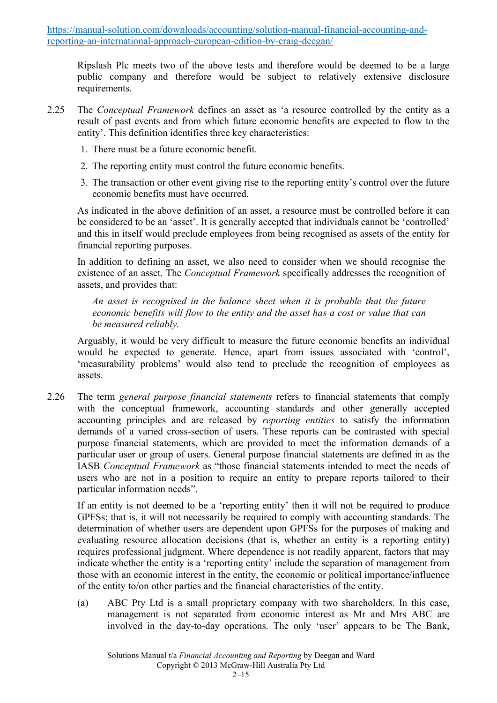Ripslash Plc meets two of the above tests and therefore would be deemed to be a large public company and therefore would be subject to relatively extensive disclosure requirements.

- 2.25 The *Conceptual Framework* defines an asset as 'a resource controlled by the entity as a result of past events and from which future economic benefits are expected to flow to the entity'. This definition identifies three key characteristics:
	- 1. There must be a future economic benefit.
	- 2. The reporting entity must control the future economic benefits.
	- 3. The transaction or other event giving rise to the reporting entity's control over the future economic benefits must have occurred.

As indicated in the above definition of an asset, a resource must be controlled before it can be considered to be an 'asset'. It is generally accepted that individuals cannot be 'controlled' and this in itself would preclude employees from being recognised as assets of the entity for financial reporting purposes.

In addition to defining an asset, we also need to consider when we should recognise the existence of an asset. The Conceptual Framework specifically addresses the recognition of assets, and provides that:

An asset is recognised in the balance sheet when it is probable that the future economic benefits will flow to the entity and the asset has a cost or value that can be measured reliably.

Arguably, it would be very difficult to measure the future economic benefits an individual would be expected to generate. Hence, apart from issues associated with 'control', 'measurability problems' would also tend to preclude the recognition of employees as assets.

2.26 The term general purpose financial statements refers to financial statements that comply with the conceptual framework, accounting standards and other generally accepted accounting principles and are released by *reporting entities* to satisfy the information demands of a varied cross-section of users. These reports can be contrasted with special purpose financial statements, which are provided to meet the information demands of a particular user or group of users. General purpose financial statements are defined in as the IASB Conceptual Framework as "those financial statements intended to meet the needs of users who are not in a position to require an entity to prepare reports tailored to their particular information needs".

If an entity is not deemed to be a 'reporting entity' then it will not be required to produce GPFSs; that is, it will not necessarily be required to comply with accounting standards. The determination of whether users are dependent upon GPFSs for the purposes of making and evaluating resource allocation decisions (that is, whether an entity is a reporting entity) requires professional judgment. Where dependence is not readily apparent, factors that may indicate whether the entity is a 'reporting entity' include the separation of management from those with an economic interest in the entity, the economic or political importance/influence of the entity to/on other parties and the financial characteristics of the entity.

(a) ABC Pty Ltd is a small proprietary company with two shareholders. In this case, management is not separated from economic interest as Mr and Mrs ABC are involved in the day-to-day operations. The only 'user' appears to be The Bank,